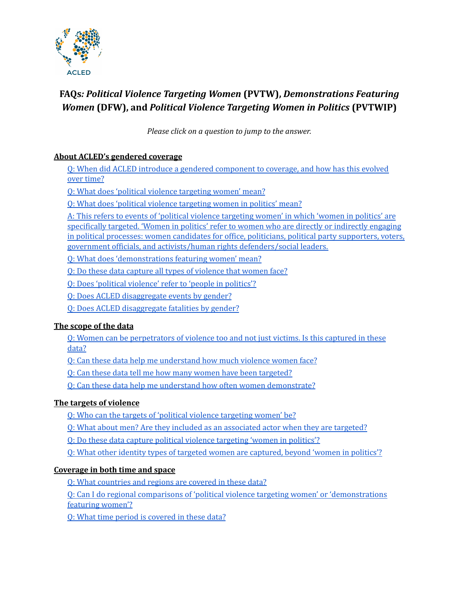

# **FAQs***: Political Violence Targeting Women* **(PVTW),** *Demonstrations Featuring Women* **(DFW), and** *Political Violence Targeting Women in Politics* **(PVTWIP)**

*Please click on a question to jump to the answer.*

# **About ACLED's [gendered](#page-2-0) coverage**

Q: When did ACLED introduce a gendered [component](#page-2-1) to coverage, and how has this evolved over [time?](#page-2-1)

Q: What does 'political violence [targeting](#page-2-2) women' mean?

Q: What does 'political violence [targeting](#page-2-3) women in politics' mean?

A: This refers to events of 'political violence [targeting](#page-2-4) women' in which 'women in politics' are [specifically](#page-2-4) targeted. 'Women in politics' refer to women who are directly or indirectly engaging in political processes: women candidates for office, politicians, political party [supporters,](#page-2-4) voters, government officials, and activists/human rights [defenders/social](#page-2-4) leaders.

Q: What does ['demonstrations](#page-2-5) featuring women' mean?

Q: Do these data capture all types of [violence](#page-3-0) that women face?

Q: Does 'political [violence'](#page-3-1) refer to 'people in politics'?

Q: Does ACLED [disaggregate](#page-3-2) events by gender?

Q: Does ACLED [disaggregate](#page-3-3) fatalities by gender?

# **The [scope](#page-3-4) of the data**

Q: Women can be [perpetrators](#page-3-5) of violence too and not just victims. Is this captured in these [data?](#page-3-5)

Q: Can these data help me [understand](#page-4-0) how much violence women face?

Q: Can these data tell me how many women have been [targeted?](#page-4-1)

Q: Can these data help me understand how often women [demonstrate?](#page-4-2)

# **The targets of violence**

Q: Who can the targets of 'political violence [targeting](#page-5-0) women' be?

Q: What about men? Are they included as an [associated](#page-5-1) actor when they are targeted?

Q: Do these data capture political violence [targeting](#page-5-2) 'women in politics'?

Q: What other identity types of targeted women are [captured,](#page-6-0) beyond 'women in politics'?

# **[Coverage](#page-7-0) in both time and space**

Q: What [countries](#page-7-1) and regions are covered in these data?

Q: Can I do regional comparisons of 'political violence targeting women' or ['demonstrations](#page-7-2) [featuring](#page-7-2) women'?

Q: What time period is [covered](#page-7-3) in these data?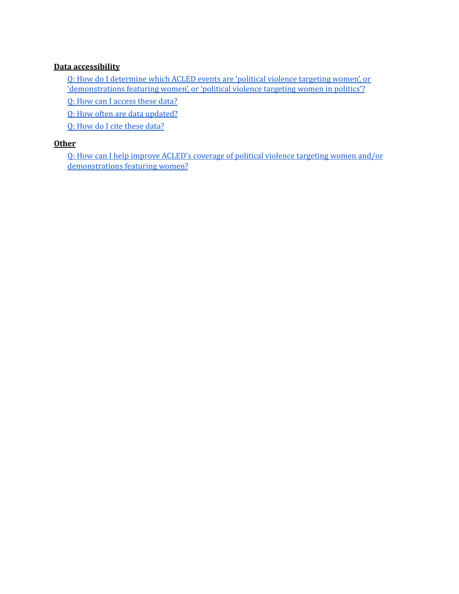#### **Data [accessibility](#page-7-4)**

Q: How do I [determine](#page-7-5) which ACLED events are 'political violence targeting women', or ['demonstrations](#page-7-5) featuring women', or 'political violence targeting women in politics'?

Q: How can I [access](#page-8-0) these data?

Q: How often are data [updated?](#page-8-1)

Q: How do I cite [these](#page-8-2) data?

#### **[Other](#page-8-3)**

Q: How can I help improve ACLED's coverage of political violence [targeting](#page-8-4) women and/or [demonstrations](#page-8-4) featuring women?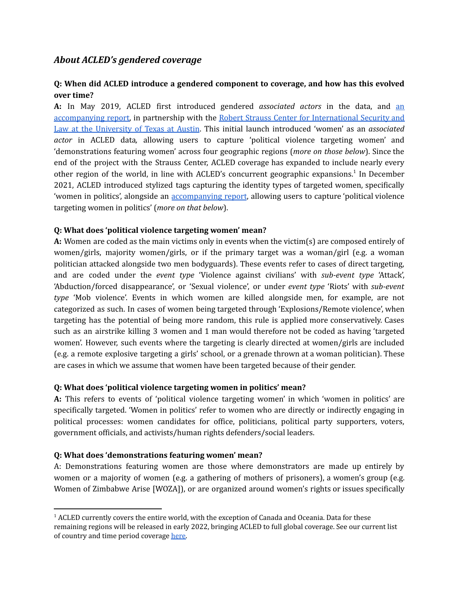# <span id="page-2-0"></span>*About ACLED's gendered coverage*

# <span id="page-2-1"></span>**Q: When did ACLED introduce a gendered component to coverage, and how has this evolved over time?**

**A:** In May 2019, ACLED first introduced gendered *associated actors* in the data, and [an](https://acleddata.com/2019/05/29/terribly-and-terrifyingly-normal-political-violence-targeting-women/) [accompanying](https://acleddata.com/2019/05/29/terribly-and-terrifyingly-normal-political-violence-targeting-women/) report, in partnership with the Robert Strauss Center for [International](https://www.strausscenter.org/) Security and Law at the [University](https://www.strausscenter.org/) of Texas at Austin. This initial launch introduced 'women' as an *associated actor* in ACLED data*,* allowing users to capture 'political violence targeting women' and 'demonstrations featuring women' across four geographic regions (*more on those below*). Since the end of the project with the Strauss Center, ACLED coverage has expanded to include nearly every other region of the world, in line with ACLED's concurrent geographic expansions.<sup>1</sup> In December 2021, ACLED introduced stylized tags capturing the identity types of targeted women, specifically 'women in politics', alongside an [accompanying](https://acleddata.com/2021/12/01/violence-targeting-women-in-politics-trends-in-targets-types-and-perpetrators-of-political-violence) report, allowing users to capture 'political violence targeting women in politics' (*more on that below*).

#### <span id="page-2-2"></span>**Q: What does 'political violence targeting women' mean?**

**A:** Women are coded as the main victims only in events when the victim(s) are composed entirely of women/girls, majority women/girls, or if the primary target was a woman/girl (e.g. a woman politician attacked alongside two men bodyguards). These events refer to cases of direct targeting, and are coded under the *event type* 'Violence against civilians' with *sub-event type* 'Attack', 'Abduction/forced disappearance', or 'Sexual violence', or under *event type* 'Riots' with *sub-event type* 'Mob violence'. Events in which women are killed alongside men, for example, are not categorized as such. In cases of women being targeted through 'Explosions/Remote violence', when targeting has the potential of being more random, this rule is applied more conservatively. Cases such as an airstrike killing 3 women and 1 man would therefore not be coded as having 'targeted women'. However, such events where the targeting is clearly directed at women/girls are included (e.g. a remote explosive targeting a girls' school, or a grenade thrown at a woman politician). These are cases in which we assume that women have been targeted because of their gender.

#### <span id="page-2-3"></span>**Q: What does 'political violence targeting women in politics' mean?**

**A:** This refers to events of 'political violence targeting women' in which 'women in politics' are specifically targeted. 'Women in politics' refer to women who are directly or indirectly engaging in political processes: women candidates for office, politicians, political party supporters, voters, government officials, and activists/human rights defenders/social leaders.

#### <span id="page-2-5"></span><span id="page-2-4"></span>**Q: What does 'demonstrations featuring women' mean?**

A: Demonstrations featuring women are those where demonstrators are made up entirely by women or a majority of women (e.g. a gathering of mothers of prisoners), a women's group (e.g. Women of Zimbabwe Arise [WOZA]), or are organized around women's rights or issues specifically

 $<sup>1</sup>$  ACLED currently covers the entire world, with the exception of Canada and Oceania. Data for these</sup> remaining regions will be released in early 2022, bringing ACLED to full global coverage. See our current list of country and time period coverage [here.](https://acleddata.com/download/4404/)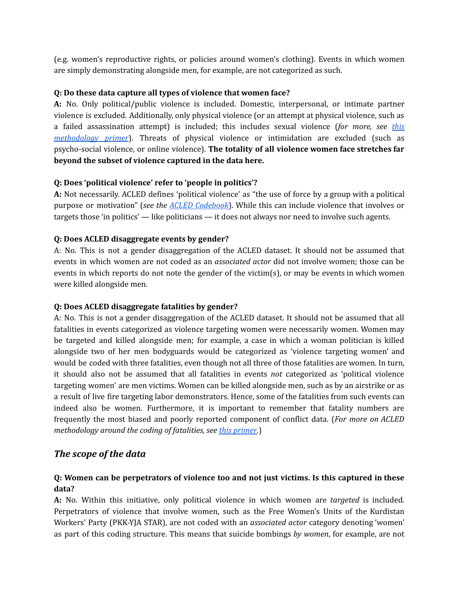(e.g. women's reproductive rights, or policies around women's clothing). Events in which women are simply demonstrating alongside men, for example, are not categorized as such.

#### <span id="page-3-0"></span>**Q: Do these data capture all types of violence that women face?**

**A:** No. Only political/public violence is included. Domestic, interpersonal, or intimate partner violence is excluded. Additionally, only physical violence (or an attempt at physical violence, such as a failed assassination attempt) is included; this includes sexual violence (*for more, see [this](https://acleddata.com/download/35214/) [methodology](https://acleddata.com/download/35214/) primer*). Threats of physical violence or intimidation are excluded (such as psycho-social violence, or online violence). **The totality of all violence women face stretches far beyond the subset of violence captured in the data here.**

#### <span id="page-3-1"></span>**Q: Does 'political violence' refer to 'people in politics'?**

**A:** Not necessarily. ACLED defines 'political violence' as "the use of force by a group with a political purpose or motivation" (*see the ACLED [Codebook](https://acleddata.com/download/2827/)*). While this can include violence that involves or targets those 'in politics' — like politicians — it does not always nor need to involve such agents.

#### <span id="page-3-2"></span>**Q: Does ACLED disaggregate events by gender?**

A: No. This is not a gender disaggregation of the ACLED dataset. It should not be assumed that events in which women are not coded as an *associated actor* did not involve women; those can be events in which reports do not note the gender of the victim(s), or may be events in which women were killed alongside men.

#### <span id="page-3-3"></span>**Q: Does ACLED disaggregate fatalities by gender?**

A: No. This is not a gender disaggregation of the ACLED dataset. It should not be assumed that all fatalities in events categorized as violence targeting women were necessarily women. Women may be targeted and killed alongside men; for example, a case in which a woman politician is killed alongside two of her men bodyguards would be categorized as 'violence targeting women' and would be coded with three fatalities, even though not all three of those fatalities are women. In turn, it should also not be assumed that all fatalities in events *not* categorized as 'political violence targeting women' are men victims. Women can be killed alongside men, such as by an airstrike or as a result of live fire targeting labor demonstrators. Hence, some of the fatalities from such events can indeed also be women. Furthermore, it is important to remember that fatality numbers are frequently the most biased and poorly reported component of conflict data. (*For more on ACLED methodology around the coding of fatalities, see this [primer.](https://acleddata.com/acleddatanew/wp-content/uploads/dlm_uploads/2020/02/FAQs_-ACLED-Fatality-Methodology_2020.pdf)*)

# <span id="page-3-4"></span>*The scope of the data*

#### <span id="page-3-5"></span>**Q: Women can be perpetrators of violence too and not just victims. Is this captured in these data?**

**A:** No. Within this initiative, only political violence in which women are *targeted* is included. Perpetrators of violence that involve women, such as the Free Women's Units of the Kurdistan Workers' Party (PKK-YJA STAR), are not coded with an *associated actor* category denoting 'women' as part of this coding structure. This means that suicide bombings *by women*, for example, are not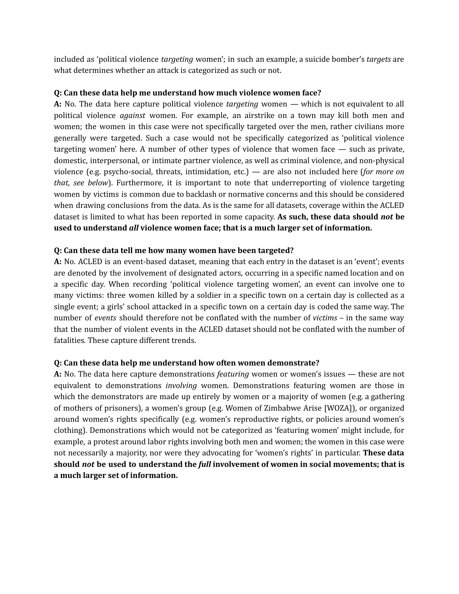included as 'political violence *targeting* women'; in such an example, a suicide bomber's *targets* are what determines whether an attack is categorized as such or not.

#### <span id="page-4-0"></span>**Q: Can these data help me understand how much violence women face?**

**A:** No. The data here capture political violence *targeting* women — which is not equivalent to all political violence *against* women. For example, an airstrike on a town may kill both men and women; the women in this case were not specifically targeted over the men, rather civilians more generally were targeted. Such a case would not be specifically categorized as 'political violence targeting women' here. A number of other types of violence that women face — such as private, domestic, interpersonal, or intimate partner violence, as well as criminal violence, and non-physical violence (e.g. psycho-social, threats, intimidation, etc.) — are also not included here (*for more on that, see below*). Furthermore, it is important to note that underreporting of violence targeting women by victims is common due to backlash or normative concerns and this should be considered when drawing conclusions from the data. As is the same for all datasets, coverage within the ACLED dataset is limited to what has been reported in some capacity. **As such, these data should** *not* **be used to understand** *all* **violence women face; that is a much larger set of information.**

#### <span id="page-4-1"></span>**Q: Can these data tell me how many women have been targeted?**

**A:** No. ACLED is an event-based dataset, meaning that each entry in the dataset is an 'event'; events are denoted by the involvement of designated actors, occurring in a specific named location and on a specific day. When recording 'political violence targeting women', an event can involve one to many victims: three women killed by a soldier in a specific town on a certain day is collected as a single event; a girls' school attacked in a specific town on a certain day is coded the same way. The number of *events* should therefore not be conflated with the number of *victims –* in the same way that the number of violent events in the ACLED dataset should not be conflated with the number of fatalities*.* These capture different trends.

#### <span id="page-4-2"></span>**Q: Can these data help me understand how often women demonstrate?**

**A:** No. The data here capture demonstrations *featuring* women or women's issues — these are not equivalent to demonstrations *involving* women. Demonstrations featuring women are those in which the demonstrators are made up entirely by women or a majority of women (e.g. a gathering of mothers of prisoners), a women's group (e.g. Women of Zimbabwe Arise [WOZA]), or organized around women's rights specifically (e.g. women's reproductive rights, or policies around women's clothing). Demonstrations which would not be categorized as 'featuring women' might include, for example, a protest around labor rights involving both men and women; the women in this case were not necessarily a majority, nor were they advocating for 'women's rights' in particular. **These data should** *not* **be used to understand the** *full* **involvement of women in social movements; that is a much larger set of information.**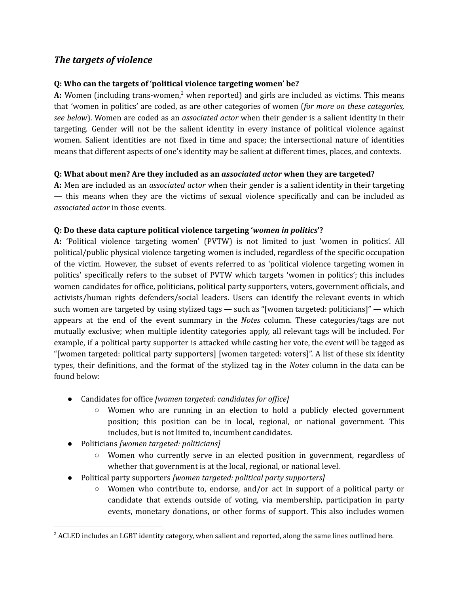# *The targets of violence*

### <span id="page-5-0"></span>**Q: Who can the targets of 'political violence targeting women' be?**

A: Women (including trans-women,<sup>2</sup> when reported) and girls are included as victims. This means that 'women in politics' are coded, as are other categories of women (*for more on these categories, see below*). Women are coded as an *associated actor* when their gender is a salient identity in their targeting. Gender will not be the salient identity in every instance of political violence against women. Salient identities are not fixed in time and space; the intersectional nature of identities means that different aspects of one's identity may be salient at different times, places, and contexts.

#### <span id="page-5-1"></span>**Q: What about men? Are they included as an** *associated actor* **when they are targeted?**

**A:** Men are included as an *associated actor* when their gender is a salient identity in their targeting — this means when they are the victims of sexual violence specifically and can be included as *associated actor* in those events.

#### <span id="page-5-2"></span>**Q: Do these data capture political violence targeting '***women in politics***'?**

**A:** 'Political violence targeting women' (PVTW) is not limited to just 'women in politics'. All political/public physical violence targeting women is included, regardless of the specific occupation of the victim. However, the subset of events referred to as 'political violence targeting women in politics' specifically refers to the subset of PVTW which targets 'women in politics'; this includes women candidates for office, politicians, political party supporters, voters, government officials, and activists/human rights defenders/social leaders. Users can identify the relevant events in which such women are targeted by using stylized tags — such as "[women targeted: politicians]" — which appears at the end of the event summary in the *Notes* column. These categories/tags are not mutually exclusive; when multiple identity categories apply, all relevant tags will be included. For example, if a political party supporter is attacked while casting her vote, the event will be tagged as "[women targeted: political party supporters] [women targeted: voters]". A list of these six identity types, their definitions, and the format of the stylized tag in the *Notes* column in the data can be found below:

- Candidates for office *[women targeted: candidates for of ice]*
	- Women who are running in an election to hold a publicly elected government position; this position can be in local, regional, or national government. This includes, but is not limited to, incumbent candidates.
- Politicians *[women targeted: politicians]*
	- Women who currently serve in an elected position in government, regardless of whether that government is at the local, regional, or national level.
- Political party supporters *[women targeted: political party supporters]*
	- Women who contribute to, endorse, and/or act in support of a political party or candidate that extends outside of voting, via membership, participation in party events, monetary donations, or other forms of support. This also includes women

<sup>&</sup>lt;sup>2</sup> ACLED includes an LGBT identity category, when salient and reported, along the same lines outlined here.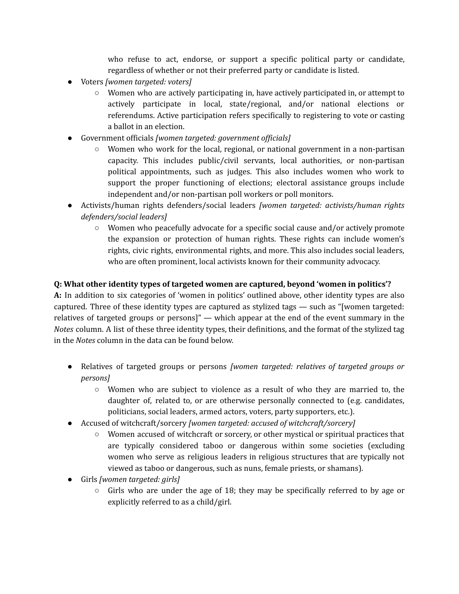who refuse to act, endorse, or support a specific political party or candidate, regardless of whether or not their preferred party or candidate is listed.

- Voters *[women targeted: voters]*
	- Women who are actively participating in, have actively participated in, or attempt to actively participate in local, state/regional, and/or national elections or referendums. Active participation refers specifically to registering to vote or casting a ballot in an election.
- Government officials *[women targeted: government of icials]*
	- $\circ$  Women who work for the local, regional, or national government in a non-partisan capacity. This includes public/civil servants, local authorities, or non-partisan political appointments, such as judges. This also includes women who work to support the proper functioning of elections; electoral assistance groups include independent and/or non-partisan poll workers or poll monitors.
- Activists/human rights defenders/social leaders *[women targeted: activists/human rights defenders/social leaders]*
	- **○** Women who peacefully advocate for a specific social cause and/or actively promote the expansion or protection of human rights. These rights can include women's rights, civic rights, environmental rights, and more. This also includes social leaders, who are often prominent, local activists known for their community advocacy.

# <span id="page-6-0"></span>**Q: What other identity types of targeted women are captured, beyond 'women in politics'?**

**A:** In addition to six categories of 'women in politics' outlined above, other identity types are also captured. Three of these identity types are captured as stylized tags — such as "[women targeted: relatives of targeted groups or persons]" — which appear at the end of the event summary in the *Notes* column. A list of these three identity types, their definitions, and the format of the stylized tag in the *Notes* column in the data can be found below.

- Relatives of targeted groups or persons *[women targeted: relatives of targeted groups or persons]*
	- $\circ$  Women who are subject to violence as a result of who they are married to, the daughter of, related to, or are otherwise personally connected to (e.g. candidates, politicians, social leaders, armed actors, voters, party supporters, etc.).
- Accused of witchcraft/sorcery *[women targeted: accused of witchcraft/sorcery]*
	- Women accused of witchcraft or sorcery, or other mystical or spiritual practices that are typically considered taboo or dangerous within some societies (excluding women who serve as religious leaders in religious structures that are typically not viewed as taboo or dangerous, such as nuns, female priests, or shamans).
- Girls *[women targeted: girls]*
	- $\circ$  Girls who are under the age of 18; they may be specifically referred to by age or explicitly referred to as a child/girl.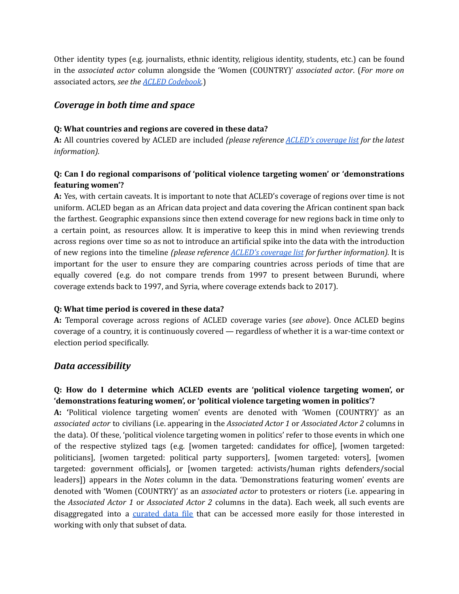Other identity types (e.g. journalists, ethnic identity, religious identity, students, etc.) can be found in the *associated actor* column alongside the 'Women (COUNTRY)' *associated actor*. (*For more on* associated actors*, see the ACLED [Codebook.](https://acleddata.com/download/2827/)*)

# <span id="page-7-0"></span>*Coverage in both time and space*

#### <span id="page-7-1"></span>**Q: What countries and regions are covered in these data?**

**A:** All countries covered by ACLED are included *(please reference ACLED's [coverage](https://acleddata.com/download/4404/) list for the latest information).*

# <span id="page-7-2"></span>**Q: Can I do regional comparisons of 'political violence targeting women' or 'demonstrations featuring women'?**

**A:** Yes, with certain caveats. It is important to note that ACLED's coverage of regions over time is not uniform. ACLED began as an African data project and data covering the African continent span back the farthest. Geographic expansions since then extend coverage for new regions back in time only to a certain point, as resources allow. It is imperative to keep this in mind when reviewing trends across regions over time so as not to introduce an artificial spike into the data with the introduction of new regions into the timeline *(please reference ACLED's [coverage](https://acleddata.com/download/4404/) list for further information).* It is important for the user to ensure they are comparing countries across periods of time that are equally covered (e.g. do not compare trends from 1997 to present between Burundi, where coverage extends back to 1997, and Syria, where coverage extends back to 2017).

#### <span id="page-7-3"></span>**Q: What time period is covered in these data?**

**A:** Temporal coverage across regions of ACLED coverage varies (*see above*). Once ACLED begins coverage of a country, it is continuously covered — regardless of whether it is a war-time context or election period specifically.

# <span id="page-7-4"></span>*Data accessibility*

# <span id="page-7-5"></span>**Q: How do I determine which ACLED events are 'political violence targeting women', or 'demonstrations featuring women', or 'political violence targeting women in politics'?**

**A: '**Political violence targeting women' events are denoted with 'Women (COUNTRY)' as an *associated actor* to civilians (i.e. appearing in the *Associated Actor 1* or *Associated Actor 2* columns in the data). Of these, 'political violence targeting women in politics' refer to those events in which one of the respective stylized tags (e.g. [women targeted: candidates for office], [women targeted: politicians], [women targeted: political party supporters], [women targeted: voters], [women targeted: government officials], or [women targeted: activists/human rights defenders/social leaders]) appears in the *Notes* column in the data. 'Demonstrations featuring women' events are denoted with 'Women (COUNTRY)' as an *associated actor* to protesters or rioters (i.e. appearing in the *Associated Actor 1* or *Associated Actor 2* columns in the data). Each week, all such events are disaggregated into a [curated](https://www.acleddata.com/curated-data-files/) data file that can be accessed more easily for those interested in working with only that subset of data.